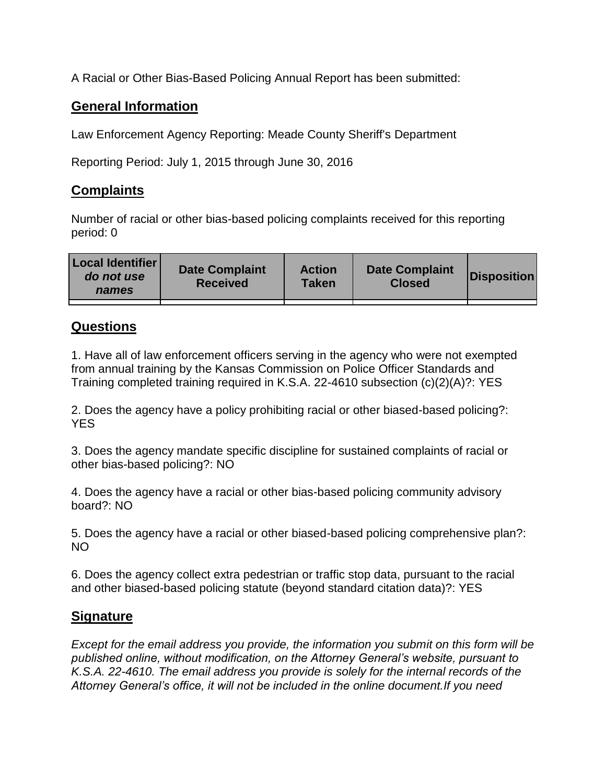A Racial or Other Bias-Based Policing Annual Report has been submitted:

## **General Information**

Law Enforcement Agency Reporting: Meade County Sheriff's Department

Reporting Period: July 1, 2015 through June 30, 2016

## **Complaints**

Number of racial or other bias-based policing complaints received for this reporting period: 0

| <b>Local Identifier</b><br>do not use<br>names | <b>Date Complaint</b><br><b>Received</b> | <b>Action</b><br><b>Taken</b> | <b>Date Complaint</b><br><b>Closed</b> | Disposition |
|------------------------------------------------|------------------------------------------|-------------------------------|----------------------------------------|-------------|
|                                                |                                          |                               |                                        |             |

## **Questions**

1. Have all of law enforcement officers serving in the agency who were not exempted from annual training by the Kansas Commission on Police Officer Standards and Training completed training required in K.S.A. 22-4610 subsection (c)(2)(A)?: YES

2. Does the agency have a policy prohibiting racial or other biased-based policing?: YES

3. Does the agency mandate specific discipline for sustained complaints of racial or other bias-based policing?: NO

4. Does the agency have a racial or other bias-based policing community advisory board?: NO

5. Does the agency have a racial or other biased-based policing comprehensive plan?: NO

6. Does the agency collect extra pedestrian or traffic stop data, pursuant to the racial and other biased-based policing statute (beyond standard citation data)?: YES

## **Signature**

*Except for the email address you provide, the information you submit on this form will be published online, without modification, on the Attorney General's website, pursuant to K.S.A. 22-4610. The email address you provide is solely for the internal records of the Attorney General's office, it will not be included in the online document.If you need*